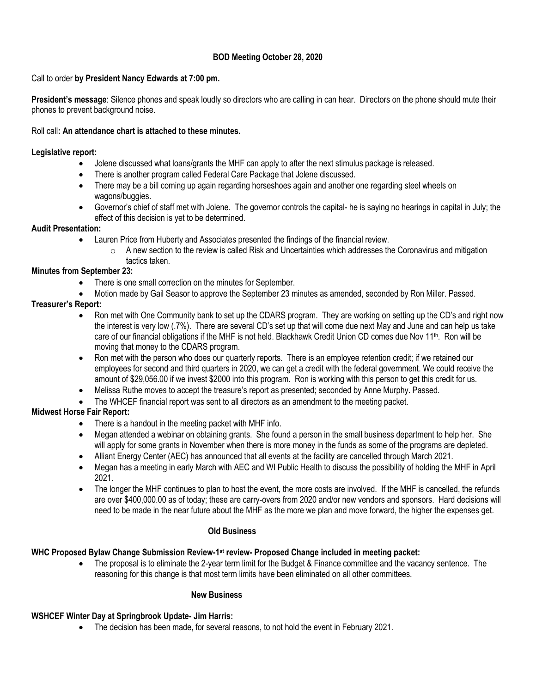# **BOD Meeting October 28, 2020**

### Call to order **by President Nancy Edwards at 7:00 pm.**

**President's message**: Silence phones and speak loudly so directors who are calling in can hear. Directors on the phone should mute their phones to prevent background noise.

### Roll call**: An attendance chart is attached to these minutes.**

### **Legislative report:**

- Jolene discussed what loans/grants the MHF can apply to after the next stimulus package is released.
- There is another program called Federal Care Package that Jolene discussed.
- There may be a bill coming up again regarding horseshoes again and another one regarding steel wheels on wagons/buggies.
- Governor's chief of staff met with Jolene. The governor controls the capital- he is saying no hearings in capital in July; the effect of this decision is yet to be determined.

### **Audit Presentation:**

- Lauren Price from Huberty and Associates presented the findings of the financial review.
	- $\circ$  A new section to the review is called Risk and Uncertainties which addresses the Coronavirus and mitigation tactics taken.

### **Minutes from September 23:**

- There is one small correction on the minutes for September.
- Motion made by Gail Seasor to approve the September 23 minutes as amended, seconded by Ron Miller. Passed.

# **Treasurer's Report:**

- Ron met with One Community bank to set up the CDARS program. They are working on setting up the CD's and right now the interest is very low (.7%). There are several CD's set up that will come due next May and June and can help us take care of our financial obligations if the MHF is not held. Blackhawk Credit Union CD comes due Nov 11<sup>th</sup>. Ron will be moving that money to the CDARS program.
- Ron met with the person who does our quarterly reports. There is an employee retention credit; if we retained our employees for second and third quarters in 2020, we can get a credit with the federal government. We could receive the amount of \$29,056.00 if we invest \$2000 into this program. Ron is working with this person to get this credit for us.
- Melissa Ruthe moves to accept the treasure's report as presented; seconded by Anne Murphy. Passed.
- The WHCEF financial report was sent to all directors as an amendment to the meeting packet.

# **Midwest Horse Fair Report:**

- There is a handout in the meeting packet with MHF info.
- Megan attended a webinar on obtaining grants. She found a person in the small business department to help her. She will apply for some grants in November when there is more money in the funds as some of the programs are depleted.
- Alliant Energy Center (AEC) has announced that all events at the facility are cancelled through March 2021.
- Megan has a meeting in early March with AEC and WI Public Health to discuss the possibility of holding the MHF in April 2021.
- The longer the MHF continues to plan to host the event, the more costs are involved. If the MHF is cancelled, the refunds are over \$400,000.00 as of today; these are carry-overs from 2020 and/or new vendors and sponsors. Hard decisions will need to be made in the near future about the MHF as the more we plan and move forward, the higher the expenses get.

### **Old Business**

# **WHC Proposed Bylaw Change Submission Review-1 st review- Proposed Change included in meeting packet:**

• The proposal is to eliminate the 2-year term limit for the Budget & Finance committee and the vacancy sentence. The reasoning for this change is that most term limits have been eliminated on all other committees.

### **New Business**

### **WSHCEF Winter Day at Springbrook Update- Jim Harris:**

• The decision has been made, for several reasons, to not hold the event in February 2021.